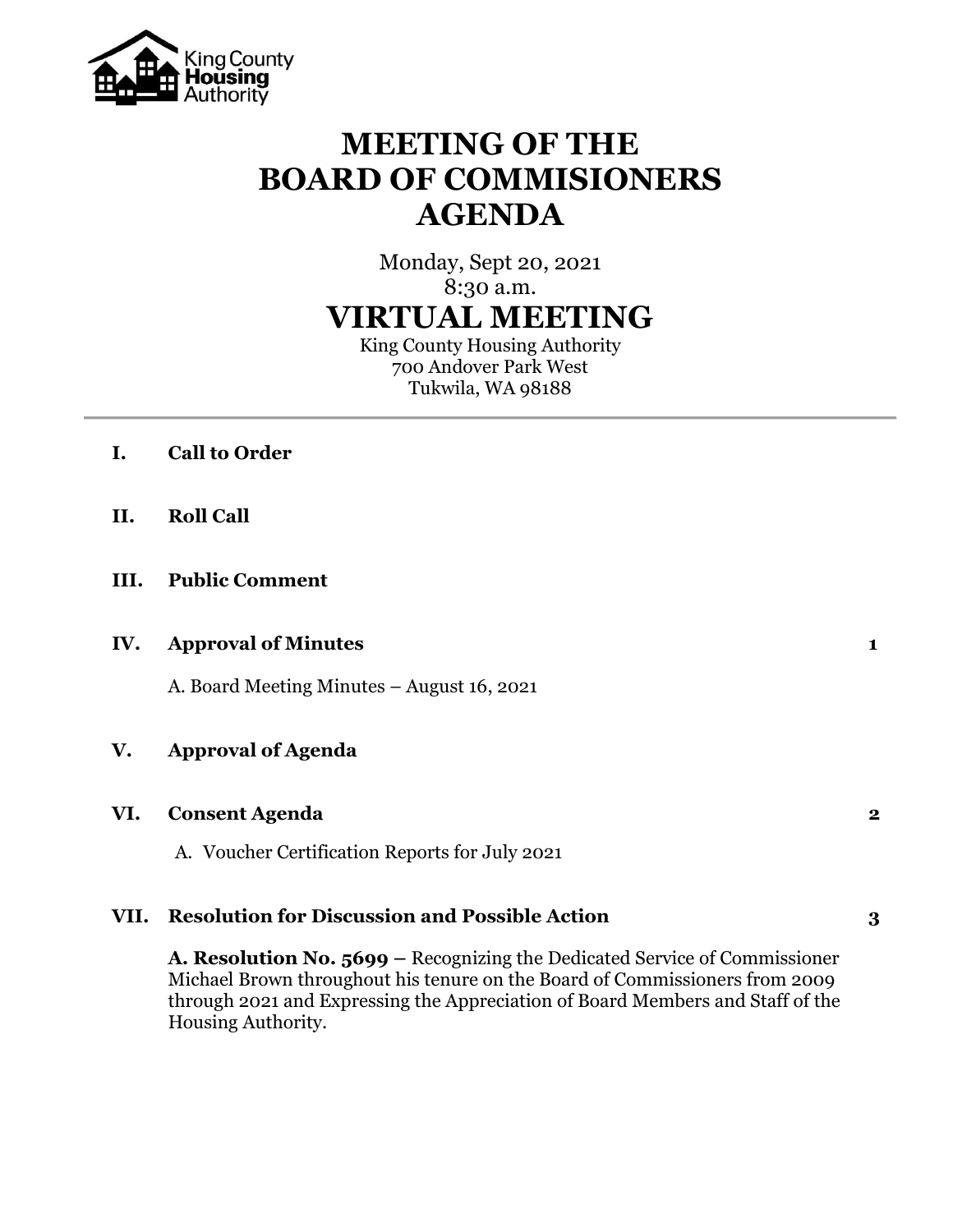

# **MEETING OF THE BOARD OF COMMISIONERS AGENDA**

Monday, Sept 20, 2021

8:30 a.m.

# **VIRTUAL MEETING**

King County Housing Authority 700 Andover Park West Tukwila, WA 98188

- **I. Call to Order**
- **II. Roll Call**
- **III. Public Comment**

# **IV. Approval of Minutes 1**

A. Board Meeting Minutes – August 16, 2021

# **V. Approval of Agenda**

#### **VI. Consent Agenda 2**

A. Voucher Certification Reports for July 2021

#### **VII. Resolution for Discussion and Possible Action 3**

**A. Resolution No. 5699 –** Recognizing the Dedicated Service of Commissioner Michael Brown throughout his tenure on the Board of Commissioners from 2009 through 2021 and Expressing the Appreciation of Board Members and Staff of the Housing Authority.